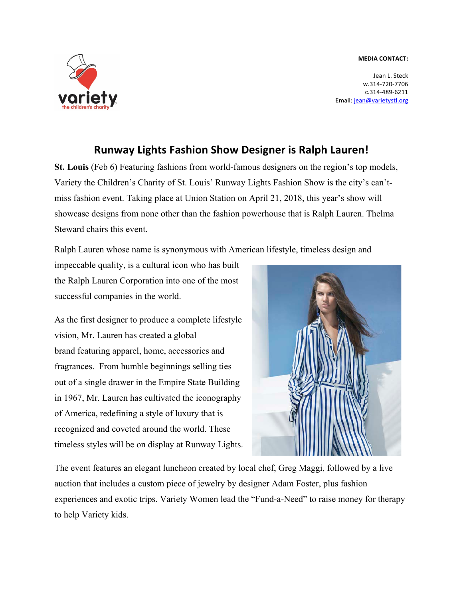## **MEDIA CONTACT:**



Jean L. Steck w.314-720-7706 c.314-489-6211 Email: jean@varietystl.org

## **Runway Lights Fashion Show Designer is Ralph Lauren!**

**St. Louis** (Feb 6) Featuring fashions from world-famous designers on the region's top models, Variety the Children's Charity of St. Louis' Runway Lights Fashion Show is the city's can'tmiss fashion event. Taking place at Union Station on April 21, 2018, this year's show will showcase designs from none other than the fashion powerhouse that is Ralph Lauren. Thelma Steward chairs this event.

Ralph Lauren whose name is synonymous with American lifestyle, timeless design and

impeccable quality, is a cultural icon who has built the Ralph Lauren Corporation into one of the most successful companies in the world.

As the first designer to produce a complete lifestyle vision, Mr. Lauren has created a global brand featuring apparel, home, accessories and fragrances. From humble beginnings selling ties out of a single drawer in the Empire State Building in 1967, Mr. Lauren has cultivated the iconography of America, redefining a style of luxury that is recognized and coveted around the world. These timeless styles will be on display at Runway Lights.



The event features an elegant luncheon created by local chef, Greg Maggi, followed by a live auction that includes a custom piece of jewelry by designer Adam Foster, plus fashion experiences and exotic trips. Variety Women lead the "Fund-a-Need" to raise money for therapy to help Variety kids.